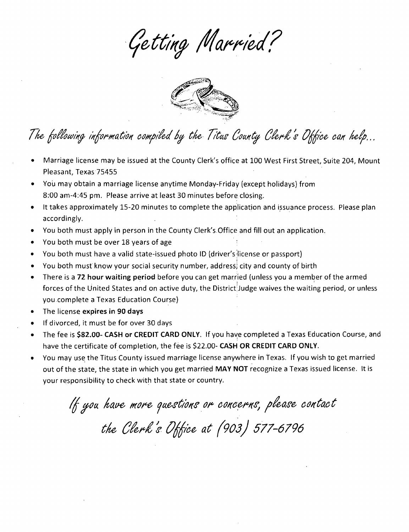Getting Married?



# The following information compiled by the Titus County Clerk's Office can help...

- Marriage license may be issued at the County Clerk's office at 100 West First Street, Suite 204, Mount Pleasant, Texas 75455
- You may obtain a marriage license anytime Monday-Friday (except holidays) from 8:00 am-4:45 pm. Please arrive at least 30 minutes before. closing.
- It takes approximately 15-20 minutes to complete the application and issuance process. Please plan accordingly.
- You both must apply in person in the County Clerk's. Office and fill out an application.
- You both must be over 18 years of age
- You both must have a valid state-issued photo ID (driver's license or passport)
- You both must know your social security number, address; city and county of birth
- There is a 72 hour waiting period before you can get married (unless you a member of the armed forces of the United States and on active duty, the District'Judge waives the waiting period, or unless you .complete a Texas Education Course)
- The license expires in 90 days
- • If divorced, it must be for over 30 days
- The fee is \$82.00- CASH or CREDIT CARD ONLY. If you have completed a Texas Education Course, and have the certificate of completion, the fee is \$22.00- CASH OR CREDIT CARD ONLY.
- You may use the Titus County issued marriage license anywhere in Texas. If you wish to get married out of the state, the state in which you get married MAY NOT recognize a Texas issued license. It is your responsibility to check with that state or country.

If you have more questions or concerns, please contact the Clerk's Office at (903) 577-6796